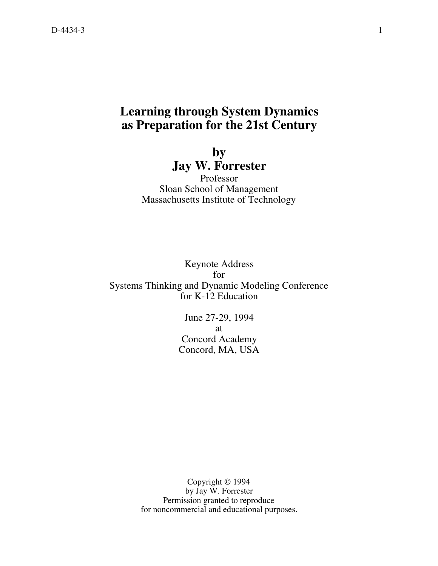# **Learning through System Dynamics as Preparation for the 21st Century**

# **by Jay W. Forrester**

Professor Sloan School of Management Massachusetts Institute of Technology

Keynote Address for Systems Thinking and Dynamic Modeling Conference for K-12 Education

> June 27-29, 1994 at Concord Academy Concord, MA, USA

Copyright © 1994 by Jay W. Forrester Permission granted to reproduce for noncommercial and educational purposes.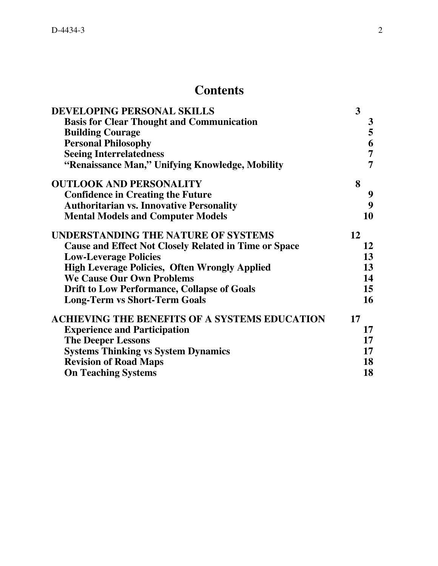# **Contents**

| DEVELOPING PERSONAL SKILLS                                   | 3                |
|--------------------------------------------------------------|------------------|
| <b>Basis for Clear Thought and Communication</b>             | $\boldsymbol{3}$ |
| <b>Building Courage</b>                                      | 5                |
| <b>Personal Philosophy</b>                                   | 6                |
| <b>Seeing Interrelatedness</b>                               | $\overline{7}$   |
| "Renaissance Man," Unifying Knowledge, Mobility              | $\overline{7}$   |
| <b>OUTLOOK AND PERSONALITY</b>                               | 8                |
| <b>Confidence in Creating the Future</b>                     | 9                |
| <b>Authoritarian vs. Innovative Personality</b>              | 9                |
| <b>Mental Models and Computer Models</b>                     | 10               |
| UNDERSTANDING THE NATURE OF SYSTEMS                          | 12               |
| <b>Cause and Effect Not Closely Related in Time or Space</b> | 12               |
| <b>Low-Leverage Policies</b>                                 | 13               |
| <b>High Leverage Policies, Often Wrongly Applied</b>         | 13               |
| <b>We Cause Our Own Problems</b>                             | 14               |
| <b>Drift to Low Performance, Collapse of Goals</b>           | 15               |
| <b>Long-Term vs Short-Term Goals</b>                         | 16               |
| <b>ACHIEVING THE BENEFITS OF A SYSTEMS EDUCATION</b>         | 17               |
| <b>Experience and Participation</b>                          | 17               |
| <b>The Deeper Lessons</b>                                    | 17               |
| <b>Systems Thinking vs System Dynamics</b>                   | 17               |
| <b>Revision of Road Maps</b>                                 | 18               |
| <b>On Teaching Systems</b>                                   | 18               |
|                                                              |                  |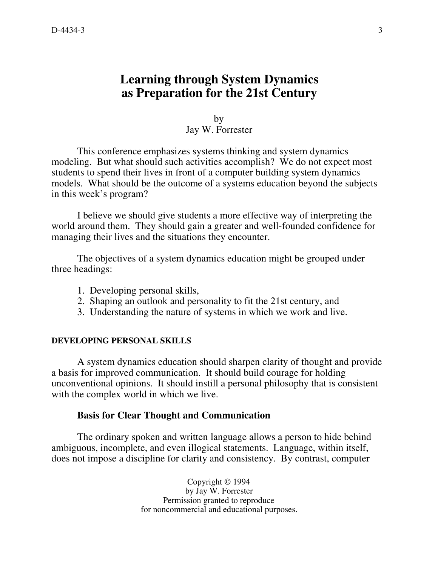# **Learning through System Dynamics as Preparation for the 21st Century**

### by Jay W. Forrester

This conference emphasizes systems thinking and system dynamics modeling. But what should such activities accomplish? We do not expect most students to spend their lives in front of a computer building system dynamics models. What should be the outcome of a systems education beyond the subjects in this week's program?

I believe we should give students a more effective way of interpreting the world around them. They should gain a greater and well-founded confidence for managing their lives and the situations they encounter.

The objectives of a system dynamics education might be grouped under three headings:

- 1. Developing personal skills,
- 2. Shaping an outlook and personality to fit the 21st century, and
- 3. Understanding the nature of systems in which we work and live.

## **DEVELOPING PERSONAL SKILLS**

A system dynamics education should sharpen clarity of thought and provide a basis for improved communication. It should build courage for holding unconventional opinions. It should instill a personal philosophy that is consistent with the complex world in which we live.

# **Basis for Clear Thought and Communication**

The ordinary spoken and written language allows a person to hide behind ambiguous, incomplete, and even illogical statements. Language, within itself, does not impose a discipline for clarity and consistency. By contrast, computer

> Copyright © 1994 by Jay W. Forrester Permission granted to reproduce for noncommercial and educational purposes.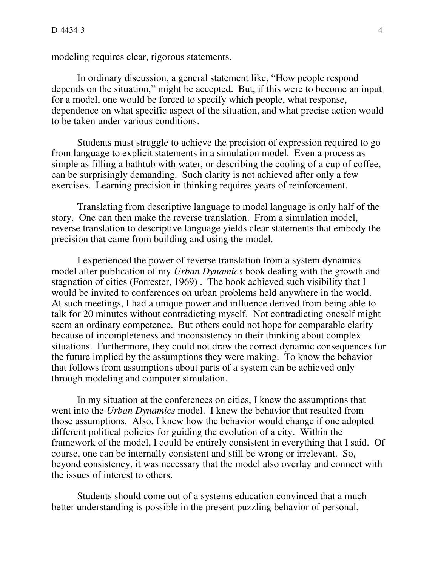modeling requires clear, rigorous statements.

In ordinary discussion, a general statement like, "How people respond depends on the situation," might be accepted. But, if this were to become an input for a model, one would be forced to specify which people, what response, dependence on what specific aspect of the situation, and what precise action would to be taken under various conditions.

Students must struggle to achieve the precision of expression required to go from language to explicit statements in a simulation model. Even a process as simple as filling a bathtub with water, or describing the cooling of a cup of coffee, can be surprisingly demanding. Such clarity is not achieved after only a few exercises. Learning precision in thinking requires years of reinforcement.

Translating from descriptive language to model language is only half of the story. One can then make the reverse translation. From a simulation model, reverse translation to descriptive language yields clear statements that embody the precision that came from building and using the model.

I experienced the power of reverse translation from a system dynamics model after publication of my *Urban Dynamics* book dealing with the growth and stagnation of cities (Forrester, 1969) . The book achieved such visibility that I would be invited to conferences on urban problems held anywhere in the world. At such meetings, I had a unique power and influence derived from being able to talk for 20 minutes without contradicting myself. Not contradicting oneself might seem an ordinary competence. But others could not hope for comparable clarity because of incompleteness and inconsistency in their thinking about complex situations. Furthermore, they could not draw the correct dynamic consequences for the future implied by the assumptions they were making. To know the behavior that follows from assumptions about parts of a system can be achieved only through modeling and computer simulation.

In my situation at the conferences on cities, I knew the assumptions that went into the *Urban Dynamics* model. I knew the behavior that resulted from those assumptions. Also, I knew how the behavior would change if one adopted different political policies for guiding the evolution of a city. Within the framework of the model, I could be entirely consistent in everything that I said. Of course, one can be internally consistent and still be wrong or irrelevant. So, beyond consistency, it was necessary that the model also overlay and connect with the issues of interest to others.

Students should come out of a systems education convinced that a much better understanding is possible in the present puzzling behavior of personal,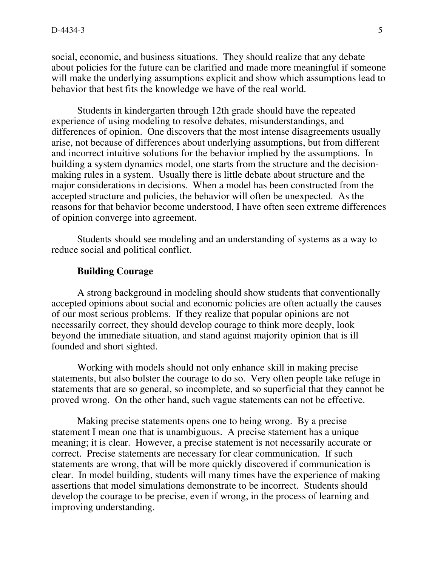social, economic, and business situations. They should realize that any debate about policies for the future can be clarified and made more meaningful if someone will make the underlying assumptions explicit and show which assumptions lead to behavior that best fits the knowledge we have of the real world.

Students in kindergarten through 12th grade should have the repeated experience of using modeling to resolve debates, misunderstandings, and differences of opinion. One discovers that the most intense disagreements usually arise, not because of differences about underlying assumptions, but from different and incorrect intuitive solutions for the behavior implied by the assumptions. In building a system dynamics model, one starts from the structure and the decisionmaking rules in a system. Usually there is little debate about structure and the major considerations in decisions. When a model has been constructed from the accepted structure and policies, the behavior will often be unexpected. As the reasons for that behavior become understood, I have often seen extreme differences of opinion converge into agreement.

Students should see modeling and an understanding of systems as a way to reduce social and political conflict.

# **Building Courage**

A strong background in modeling should show students that conventionally accepted opinions about social and economic policies are often actually the causes of our most serious problems. If they realize that popular opinions are not necessarily correct, they should develop courage to think more deeply, look beyond the immediate situation, and stand against majority opinion that is ill founded and short sighted.

Working with models should not only enhance skill in making precise statements, but also bolster the courage to do so. Very often people take refuge in statements that are so general, so incomplete, and so superficial that they cannot be proved wrong. On the other hand, such vague statements can not be effective.

Making precise statements opens one to being wrong. By a precise statement I mean one that is unambiguous. A precise statement has a unique meaning; it is clear. However, a precise statement is not necessarily accurate or correct. Precise statements are necessary for clear communication. If such statements are wrong, that will be more quickly discovered if communication is clear. In model building, students will many times have the experience of making assertions that model simulations demonstrate to be incorrect. Students should develop the courage to be precise, even if wrong, in the process of learning and improving understanding.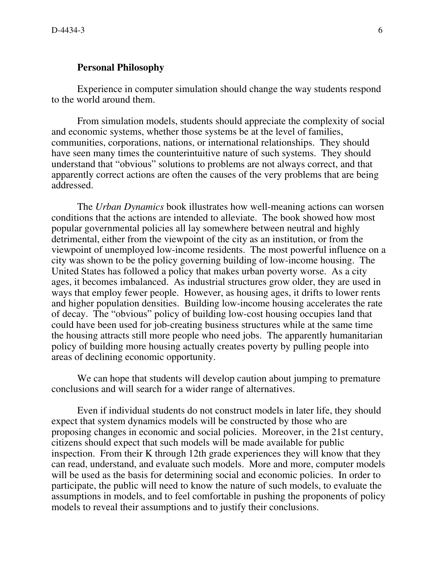## **Personal Philosophy**

Experience in computer simulation should change the way students respond to the world around them.

From simulation models, students should appreciate the complexity of social and economic systems, whether those systems be at the level of families, communities, corporations, nations, or international relationships. They should have seen many times the counterintuitive nature of such systems. They should understand that "obvious" solutions to problems are not always correct, and that apparently correct actions are often the causes of the very problems that are being addressed.

The *Urban Dynamics* book illustrates how well-meaning actions can worsen conditions that the actions are intended to alleviate. The book showed how most popular governmental policies all lay somewhere between neutral and highly detrimental, either from the viewpoint of the city as an institution, or from the viewpoint of unemployed low-income residents. The most powerful influence on a city was shown to be the policy governing building of low-income housing. The United States has followed a policy that makes urban poverty worse. As a city ages, it becomes imbalanced. As industrial structures grow older, they are used in ways that employ fewer people. However, as housing ages, it drifts to lower rents and higher population densities. Building low-income housing accelerates the rate of decay. The "obvious" policy of building low-cost housing occupies land that could have been used for job-creating business structures while at the same time the housing attracts still more people who need jobs. The apparently humanitarian policy of building more housing actually creates poverty by pulling people into areas of declining economic opportunity.

We can hope that students will develop caution about jumping to premature conclusions and will search for a wider range of alternatives.

Even if individual students do not construct models in later life, they should expect that system dynamics models will be constructed by those who are proposing changes in economic and social policies. Moreover, in the 21st century, citizens should expect that such models will be made available for public inspection. From their K through 12th grade experiences they will know that they can read, understand, and evaluate such models. More and more, computer models will be used as the basis for determining social and economic policies. In order to participate, the public will need to know the nature of such models, to evaluate the assumptions in models, and to feel comfortable in pushing the proponents of policy models to reveal their assumptions and to justify their conclusions.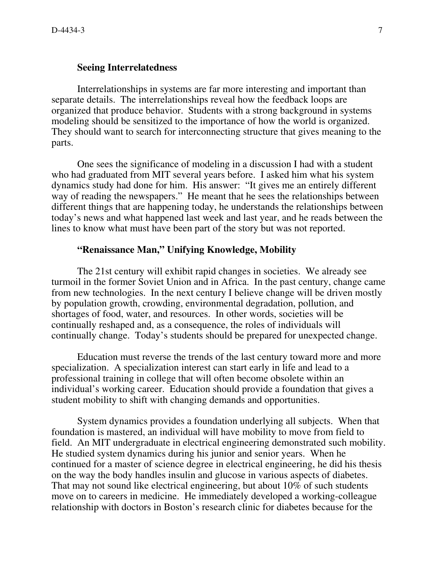#### **Seeing Interrelatedness**

Interrelationships in systems are far more interesting and important than separate details. The interrelationships reveal how the feedback loops are organized that produce behavior. Students with a strong background in systems modeling should be sensitized to the importance of how the world is organized. They should want to search for interconnecting structure that gives meaning to the parts.

One sees the significance of modeling in a discussion I had with a student who had graduated from MIT several years before. I asked him what his system dynamics study had done for him. His answer: "It gives me an entirely different way of reading the newspapers." He meant that he sees the relationships between different things that are happening today, he understands the relationships between today's news and what happened last week and last year, and he reads between the lines to know what must have been part of the story but was not reported.

#### **"Renaissance Man," Unifying Knowledge, Mobility**

The 21st century will exhibit rapid changes in societies. We already see turmoil in the former Soviet Union and in Africa. In the past century, change came from new technologies. In the next century I believe change will be driven mostly by population growth, crowding, environmental degradation, pollution, and shortages of food, water, and resources. In other words, societies will be continually reshaped and, as a consequence, the roles of individuals will continually change. Today's students should be prepared for unexpected change.

Education must reverse the trends of the last century toward more and more specialization. A specialization interest can start early in life and lead to a professional training in college that will often become obsolete within an individual's working career. Education should provide a foundation that gives a student mobility to shift with changing demands and opportunities.

System dynamics provides a foundation underlying all subjects. When that foundation is mastered, an individual will have mobility to move from field to field. An MIT undergraduate in electrical engineering demonstrated such mobility. He studied system dynamics during his junior and senior years. When he continued for a master of science degree in electrical engineering, he did his thesis on the way the body handles insulin and glucose in various aspects of diabetes. That may not sound like electrical engineering, but about 10% of such students move on to careers in medicine. He immediately developed a working-colleague relationship with doctors in Boston's research clinic for diabetes because for the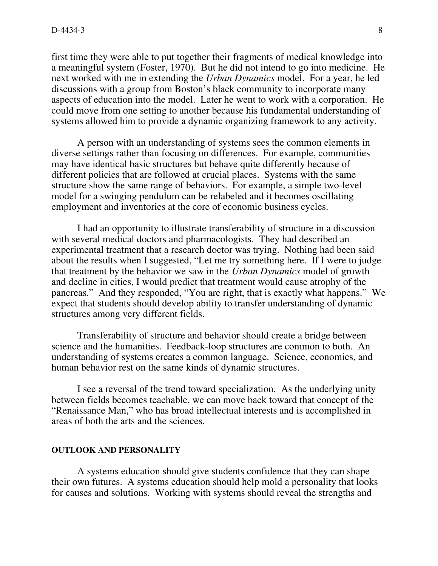first time they were able to put together their fragments of medical knowledge into a meaningful system (Foster, 1970). But he did not intend to go into medicine. He next worked with me in extending the *Urban Dynamics* model. For a year, he led discussions with a group from Boston's black community to incorporate many aspects of education into the model. Later he went to work with a corporation. He could move from one setting to another because his fundamental understanding of systems allowed him to provide a dynamic organizing framework to any activity.

A person with an understanding of systems sees the common elements in diverse settings rather than focusing on differences. For example, communities may have identical basic structures but behave quite differently because of different policies that are followed at crucial places. Systems with the same structure show the same range of behaviors. For example, a simple two-level model for a swinging pendulum can be relabeled and it becomes oscillating employment and inventories at the core of economic business cycles.

I had an opportunity to illustrate transferability of structure in a discussion with several medical doctors and pharmacologists. They had described an experimental treatment that a research doctor was trying. Nothing had been said about the results when I suggested, "Let me try something here. If I were to judge that treatment by the behavior we saw in the *Urban Dynamics* model of growth and decline in cities, I would predict that treatment would cause atrophy of the pancreas." And they responded, "You are right, that is exactly what happens." We expect that students should develop ability to transfer understanding of dynamic structures among very different fields.

Transferability of structure and behavior should create a bridge between science and the humanities. Feedback-loop structures are common to both. An understanding of systems creates a common language. Science, economics, and human behavior rest on the same kinds of dynamic structures.

I see a reversal of the trend toward specialization. As the underlying unity between fields becomes teachable, we can move back toward that concept of the "Renaissance Man," who has broad intellectual interests and is accomplished in areas of both the arts and the sciences.

#### **OUTLOOK AND PERSONALITY**

A systems education should give students confidence that they can shape their own futures. A systems education should help mold a personality that looks for causes and solutions. Working with systems should reveal the strengths and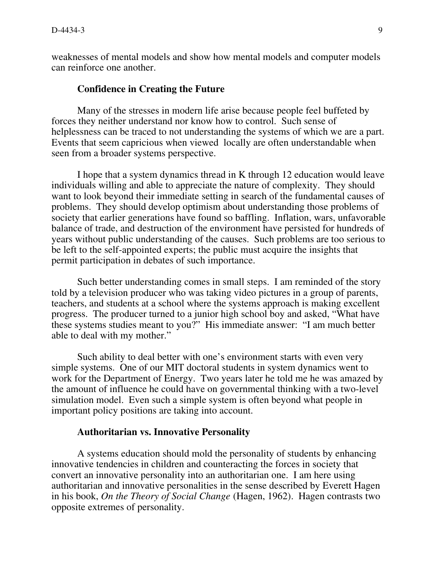weaknesses of mental models and show how mental models and computer models can reinforce one another.

#### **Confidence in Creating the Future**

Many of the stresses in modern life arise because people feel buffeted by forces they neither understand nor know how to control. Such sense of helplessness can be traced to not understanding the systems of which we are a part. Events that seem capricious when viewed locally are often understandable when seen from a broader systems perspective.

I hope that a system dynamics thread in K through 12 education would leave individuals willing and able to appreciate the nature of complexity. They should want to look beyond their immediate setting in search of the fundamental causes of problems. They should develop optimism about understanding those problems of society that earlier generations have found so baffling. Inflation, wars, unfavorable balance of trade, and destruction of the environment have persisted for hundreds of years without public understanding of the causes. Such problems are too serious to be left to the self-appointed experts; the public must acquire the insights that permit participation in debates of such importance.

Such better understanding comes in small steps. I am reminded of the story told by a television producer who was taking video pictures in a group of parents, teachers, and students at a school where the systems approach is making excellent progress. The producer turned to a junior high school boy and asked, "What have these systems studies meant to you?" His immediate answer: "I am much better able to deal with my mother."

Such ability to deal better with one's environment starts with even very simple systems. One of our MIT doctoral students in system dynamics went to work for the Department of Energy. Two years later he told me he was amazed by the amount of influence he could have on governmental thinking with a two-level simulation model. Even such a simple system is often beyond what people in important policy positions are taking into account.

#### **Authoritarian vs. Innovative Personality**

A systems education should mold the personality of students by enhancing innovative tendencies in children and counteracting the forces in society that convert an innovative personality into an authoritarian one. I am here using authoritarian and innovative personalities in the sense described by Everett Hagen in his book, *On the Theory of Social Change* (Hagen, 1962). Hagen contrasts two opposite extremes of personality.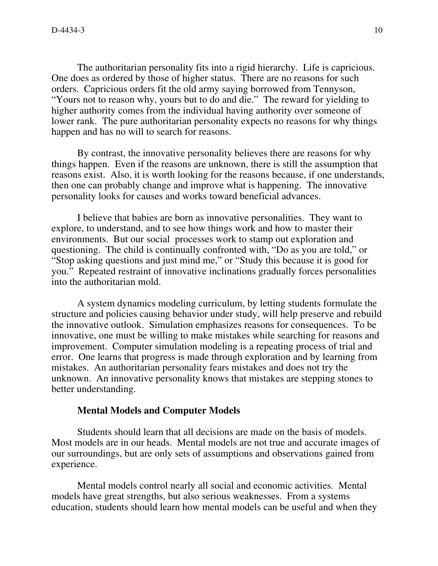The authoritarian personality fits into a rigid hierarchy. Life is capricious. One does as ordered by those of higher status. There are no reasons for such orders. Capricious orders fit the old army saying borrowed from Tennyson, "Yours not to reason why, yours but to do and die." The reward for yielding to higher authority comes from the individual having authority over someone of lower rank. The pure authoritarian personality expects no reasons for why things happen and has no will to search for reasons.

By contrast, the innovative personality believes there are reasons for why things happen. Even if the reasons are unknown, there is still the assumption that reasons exist. Also, it is worth looking for the reasons because, if one understands, then one can probably change and improve what is happening. The innovative personality looks for causes and works toward beneficial advances.

I believe that babies are born as innovative personalities. They want to explore, to understand, and to see how things work and how to master their environments. But our social processes work to stamp out exploration and questioning. The child is continually confronted with, "Do as you are told," or "Stop asking questions and just mind me," or "Study this because it is good for you." Repeated restraint of innovative inclinations gradually forces personalities into the authoritarian mold.

A system dynamics modeling curriculum, by letting students formulate the structure and policies causing behavior under study, will help preserve and rebuild the innovative outlook. Simulation emphasizes reasons for consequences. To be innovative, one must be willing to make mistakes while searching for reasons and improvement. Computer simulation modeling is a repeating process of trial and error. One learns that progress is made through exploration and by learning from mistakes. An authoritarian personality fears mistakes and does not try the unknown. An innovative personality knows that mistakes are stepping stones to better understanding.

# **Mental Models and Computer Models**

Students should learn that all decisions are made on the basis of models. Most models are in our heads. Mental models are not true and accurate images of our surroundings, but are only sets of assumptions and observations gained from experience.

Mental models control nearly all social and economic activities. Mental models have great strengths, but also serious weaknesses. From a systems education, students should learn how mental models can be useful and when they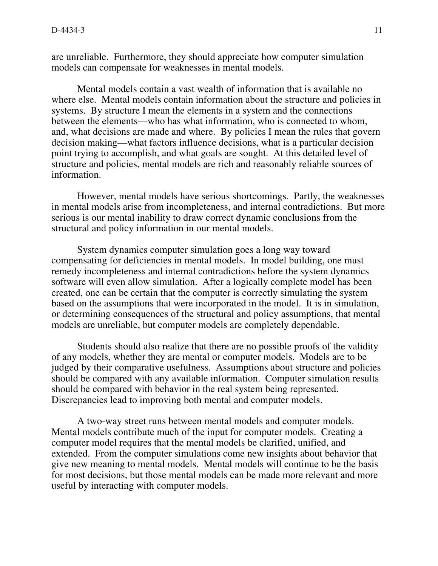are unreliable. Furthermore, they should appreciate how computer simulation models can compensate for weaknesses in mental models.

Mental models contain a vast wealth of information that is available no where else. Mental models contain information about the structure and policies in systems. By structure I mean the elements in a system and the connections between the elements—who has what information, who is connected to whom, and, what decisions are made and where. By policies I mean the rules that govern decision making—what factors influence decisions, what is a particular decision point trying to accomplish, and what goals are sought. At this detailed level of structure and policies, mental models are rich and reasonably reliable sources of information.

However, mental models have serious shortcomings. Partly, the weaknesses in mental models arise from incompleteness, and internal contradictions. But more serious is our mental inability to draw correct dynamic conclusions from the structural and policy information in our mental models.

System dynamics computer simulation goes a long way toward compensating for deficiencies in mental models. In model building, one must remedy incompleteness and internal contradictions before the system dynamics software will even allow simulation. After a logically complete model has been created, one can be certain that the computer is correctly simulating the system based on the assumptions that were incorporated in the model. It is in simulation, or determining consequences of the structural and policy assumptions, that mental models are unreliable, but computer models are completely dependable.

Students should also realize that there are no possible proofs of the validity of any models, whether they are mental or computer models. Models are to be judged by their comparative usefulness. Assumptions about structure and policies should be compared with any available information. Computer simulation results should be compared with behavior in the real system being represented. Discrepancies lead to improving both mental and computer models.

A two-way street runs between mental models and computer models. Mental models contribute much of the input for computer models. Creating a computer model requires that the mental models be clarified, unified, and extended. From the computer simulations come new insights about behavior that give new meaning to mental models. Mental models will continue to be the basis for most decisions, but those mental models can be made more relevant and more useful by interacting with computer models.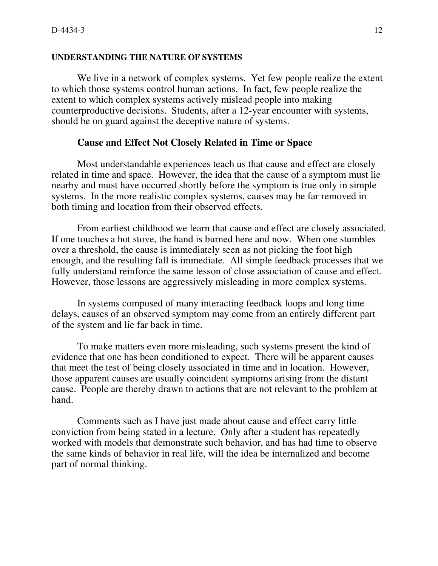#### **UNDERSTANDING THE NATURE OF SYSTEMS**

We live in a network of complex systems. Yet few people realize the extent to which those systems control human actions. In fact, few people realize the extent to which complex systems actively mislead people into making counterproductive decisions. Students, after a 12-year encounter with systems, should be on guard against the deceptive nature of systems.

## **Cause and Effect Not Closely Related in Time or Space**

Most understandable experiences teach us that cause and effect are closely related in time and space. However, the idea that the cause of a symptom must lie nearby and must have occurred shortly before the symptom is true only in simple systems. In the more realistic complex systems, causes may be far removed in both timing and location from their observed effects.

From earliest childhood we learn that cause and effect are closely associated. If one touches a hot stove, the hand is burned here and now. When one stumbles over a threshold, the cause is immediately seen as not picking the foot high enough, and the resulting fall is immediate. All simple feedback processes that we fully understand reinforce the same lesson of close association of cause and effect. However, those lessons are aggressively misleading in more complex systems.

In systems composed of many interacting feedback loops and long time delays, causes of an observed symptom may come from an entirely different part of the system and lie far back in time.

To make matters even more misleading, such systems present the kind of evidence that one has been conditioned to expect. There will be apparent causes that meet the test of being closely associated in time and in location. However, those apparent causes are usually coincident symptoms arising from the distant cause. People are thereby drawn to actions that are not relevant to the problem at hand.

Comments such as I have just made about cause and effect carry little conviction from being stated in a lecture. Only after a student has repeatedly worked with models that demonstrate such behavior, and has had time to observe the same kinds of behavior in real life, will the idea be internalized and become part of normal thinking.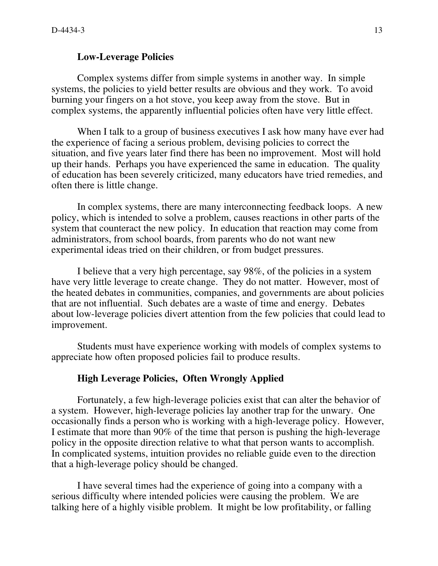# **Low-Leverage Policies**

Complex systems differ from simple systems in another way. In simple systems, the policies to yield better results are obvious and they work. To avoid burning your fingers on a hot stove, you keep away from the stove. But in complex systems, the apparently influential policies often have very little effect.

When I talk to a group of business executives I ask how many have ever had the experience of facing a serious problem, devising policies to correct the situation, and five years later find there has been no improvement. Most will hold up their hands. Perhaps you have experienced the same in education. The quality of education has been severely criticized, many educators have tried remedies, and often there is little change.

In complex systems, there are many interconnecting feedback loops. A new policy, which is intended to solve a problem, causes reactions in other parts of the system that counteract the new policy. In education that reaction may come from administrators, from school boards, from parents who do not want new experimental ideas tried on their children, or from budget pressures.

I believe that a very high percentage, say 98%, of the policies in a system have very little leverage to create change. They do not matter. However, most of the heated debates in communities, companies, and governments are about policies that are not influential. Such debates are a waste of time and energy. Debates about low-leverage policies divert attention from the few policies that could lead to improvement.

Students must have experience working with models of complex systems to appreciate how often proposed policies fail to produce results.

# **High Leverage Policies, Often Wrongly Applied**

Fortunately, a few high-leverage policies exist that can alter the behavior of a system. However, high-leverage policies lay another trap for the unwary. One occasionally finds a person who is working with a high-leverage policy. However, I estimate that more than 90% of the time that person is pushing the high-leverage policy in the opposite direction relative to what that person wants to accomplish. In complicated systems, intuition provides no reliable guide even to the direction that a high-leverage policy should be changed.

I have several times had the experience of going into a company with a serious difficulty where intended policies were causing the problem. We are talking here of a highly visible problem. It might be low profitability, or falling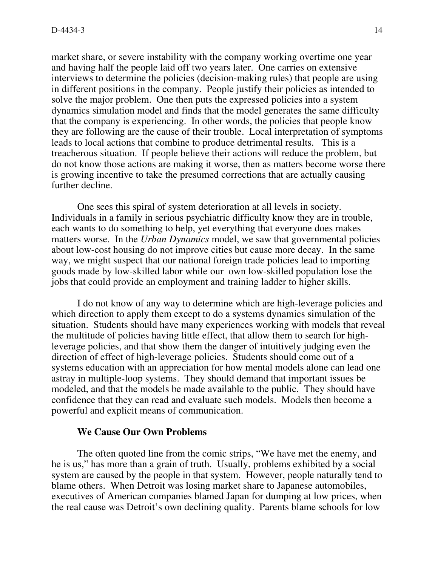market share, or severe instability with the company working overtime one year and having half the people laid off two years later. One carries on extensive interviews to determine the policies (decision-making rules) that people are using in different positions in the company. People justify their policies as intended to solve the major problem. One then puts the expressed policies into a system dynamics simulation model and finds that the model generates the same difficulty that the company is experiencing. In other words, the policies that people know they are following are the cause of their trouble. Local interpretation of symptoms leads to local actions that combine to produce detrimental results. This is a treacherous situation. If people believe their actions will reduce the problem, but do not know those actions are making it worse, then as matters become worse there is growing incentive to take the presumed corrections that are actually causing further decline.

One sees this spiral of system deterioration at all levels in society. Individuals in a family in serious psychiatric difficulty know they are in trouble, each wants to do something to help, yet everything that everyone does makes matters worse. In the *Urban Dynamics* model, we saw that governmental policies about low-cost housing do not improve cities but cause more decay. In the same way, we might suspect that our national foreign trade policies lead to importing goods made by low-skilled labor while our own low-skilled population lose the jobs that could provide an employment and training ladder to higher skills.

I do not know of any way to determine which are high-leverage policies and which direction to apply them except to do a systems dynamics simulation of the situation. Students should have many experiences working with models that reveal the multitude of policies having little effect, that allow them to search for highleverage policies, and that show them the danger of intuitively judging even the direction of effect of high-leverage policies. Students should come out of a systems education with an appreciation for how mental models alone can lead one astray in multiple-loop systems. They should demand that important issues be modeled, and that the models be made available to the public. They should have confidence that they can read and evaluate such models. Models then become a powerful and explicit means of communication.

### **We Cause Our Own Problems**

The often quoted line from the comic strips, "We have met the enemy, and he is us," has more than a grain of truth. Usually, problems exhibited by a social system are caused by the people in that system. However, people naturally tend to blame others. When Detroit was losing market share to Japanese automobiles, executives of American companies blamed Japan for dumping at low prices, when the real cause was Detroit's own declining quality. Parents blame schools for low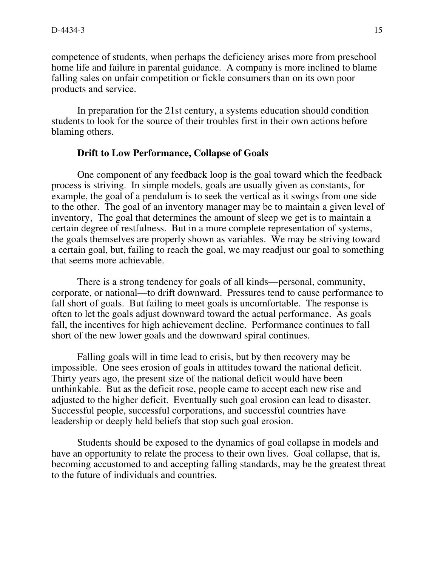competence of students, when perhaps the deficiency arises more from preschool home life and failure in parental guidance. A company is more inclined to blame falling sales on unfair competition or fickle consumers than on its own poor products and service.

In preparation for the 21st century, a systems education should condition students to look for the source of their troubles first in their own actions before blaming others.

# **Drift to Low Performance, Collapse of Goals**

One component of any feedback loop is the goal toward which the feedback process is striving. In simple models, goals are usually given as constants, for example, the goal of a pendulum is to seek the vertical as it swings from one side to the other. The goal of an inventory manager may be to maintain a given level of inventory, The goal that determines the amount of sleep we get is to maintain a certain degree of restfulness. But in a more complete representation of systems, the goals themselves are properly shown as variables. We may be striving toward a certain goal, but, failing to reach the goal, we may readjust our goal to something that seems more achievable.

There is a strong tendency for goals of all kinds—personal, community, corporate, or national—to drift downward. Pressures tend to cause performance to fall short of goals. But failing to meet goals is uncomfortable. The response is often to let the goals adjust downward toward the actual performance. As goals fall, the incentives for high achievement decline. Performance continues to fall short of the new lower goals and the downward spiral continues.

Falling goals will in time lead to crisis, but by then recovery may be impossible. One sees erosion of goals in attitudes toward the national deficit. Thirty years ago, the present size of the national deficit would have been unthinkable. But as the deficit rose, people came to accept each new rise and adjusted to the higher deficit. Eventually such goal erosion can lead to disaster. Successful people, successful corporations, and successful countries have leadership or deeply held beliefs that stop such goal erosion.

Students should be exposed to the dynamics of goal collapse in models and have an opportunity to relate the process to their own lives. Goal collapse, that is, becoming accustomed to and accepting falling standards, may be the greatest threat to the future of individuals and countries.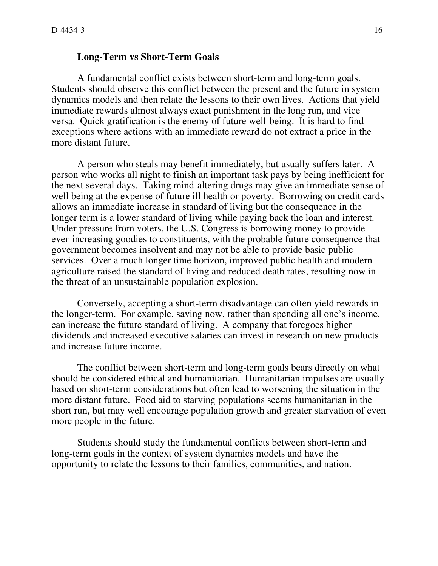#### **Long-Term vs Short-Term Goals**

A fundamental conflict exists between short-term and long-term goals. Students should observe this conflict between the present and the future in system dynamics models and then relate the lessons to their own lives. Actions that yield immediate rewards almost always exact punishment in the long run, and vice versa. Quick gratification is the enemy of future well-being. It is hard to find exceptions where actions with an immediate reward do not extract a price in the more distant future.

A person who steals may benefit immediately, but usually suffers later. A person who works all night to finish an important task pays by being inefficient for the next several days. Taking mind-altering drugs may give an immediate sense of well being at the expense of future ill health or poverty. Borrowing on credit cards allows an immediate increase in standard of living but the consequence in the longer term is a lower standard of living while paying back the loan and interest. Under pressure from voters, the U.S. Congress is borrowing money to provide ever-increasing goodies to constituents, with the probable future consequence that government becomes insolvent and may not be able to provide basic public services. Over a much longer time horizon, improved public health and modern agriculture raised the standard of living and reduced death rates, resulting now in the threat of an unsustainable population explosion.

Conversely, accepting a short-term disadvantage can often yield rewards in the longer-term. For example, saving now, rather than spending all one's income, can increase the future standard of living. A company that foregoes higher dividends and increased executive salaries can invest in research on new products and increase future income.

The conflict between short-term and long-term goals bears directly on what should be considered ethical and humanitarian. Humanitarian impulses are usually based on short-term considerations but often lead to worsening the situation in the more distant future. Food aid to starving populations seems humanitarian in the short run, but may well encourage population growth and greater starvation of even more people in the future.

Students should study the fundamental conflicts between short-term and long-term goals in the context of system dynamics models and have the opportunity to relate the lessons to their families, communities, and nation.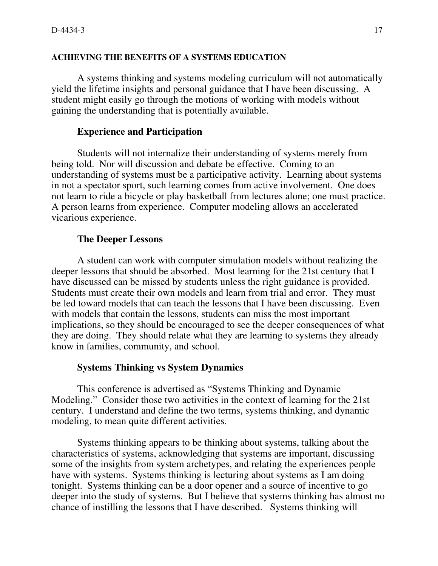## **ACHIEVING THE BENEFITS OF A SYSTEMS EDUCATION**

A systems thinking and systems modeling curriculum will not automatically yield the lifetime insights and personal guidance that I have been discussing. A student might easily go through the motions of working with models without gaining the understanding that is potentially available.

# **Experience and Participation**

Students will not internalize their understanding of systems merely from being told. Nor will discussion and debate be effective. Coming to an understanding of systems must be a participative activity. Learning about systems in not a spectator sport, such learning comes from active involvement. One does not learn to ride a bicycle or play basketball from lectures alone; one must practice. A person learns from experience. Computer modeling allows an accelerated vicarious experience.

# **The Deeper Lessons**

A student can work with computer simulation models without realizing the deeper lessons that should be absorbed. Most learning for the 21st century that I have discussed can be missed by students unless the right guidance is provided. Students must create their own models and learn from trial and error. They must be led toward models that can teach the lessons that I have been discussing. Even with models that contain the lessons, students can miss the most important implications, so they should be encouraged to see the deeper consequences of what they are doing. They should relate what they are learning to systems they already know in families, community, and school.

# **Systems Thinking vs System Dynamics**

This conference is advertised as "Systems Thinking and Dynamic Modeling." Consider those two activities in the context of learning for the 21st century. I understand and define the two terms, systems thinking, and dynamic modeling, to mean quite different activities.

Systems thinking appears to be thinking about systems, talking about the characteristics of systems, acknowledging that systems are important, discussing some of the insights from system archetypes, and relating the experiences people have with systems. Systems thinking is lecturing about systems as I am doing tonight. Systems thinking can be a door opener and a source of incentive to go deeper into the study of systems. But I believe that systems thinking has almost no chance of instilling the lessons that I have described. Systems thinking will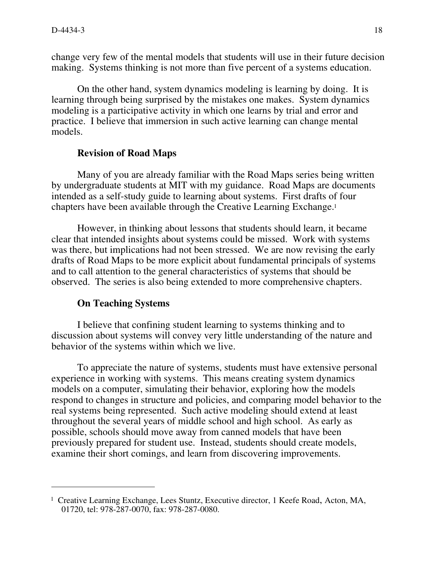$\overline{a}$ 

change very few of the mental models that students will use in their future decision making. Systems thinking is not more than five percent of a systems education.

On the other hand, system dynamics modeling is learning by doing. It is learning through being surprised by the mistakes one makes. System dynamics modeling is a participative activity in which one learns by trial and error and practice. I believe that immersion in such active learning can change mental models.

## **Revision of Road Maps**

Many of you are already familiar with the Road Maps series being written by undergraduate students at MIT with my guidance. Road Maps are documents intended as a self-study guide to learning about systems. First drafts of four chapters have been available through the Creative Learning Exchange.1

However, in thinking about lessons that students should learn, it became clear that intended insights about systems could be missed. Work with systems was there, but implications had not been stressed. We are now revising the early drafts of Road Maps to be more explicit about fundamental principals of systems and to call attention to the general characteristics of systems that should be observed. The series is also being extended to more comprehensive chapters.

#### **On Teaching Systems**

I believe that confining student learning to systems thinking and to discussion about systems will convey very little understanding of the nature and behavior of the systems within which we live.

To appreciate the nature of systems, students must have extensive personal experience in working with systems. This means creating system dynamics models on a computer, simulating their behavior, exploring how the models respond to changes in structure and policies, and comparing model behavior to the real systems being represented. Such active modeling should extend at least throughout the several years of middle school and high school. As early as possible, schools should move away from canned models that have been previously prepared for student use. Instead, students should create models, examine their short comings, and learn from discovering improvements.

<sup>&</sup>lt;sup>1</sup> Creative Learning Exchange, Lees Stuntz, Executive director, 1 Keefe Road, Acton, MA, 01720, tel: 978-287-0070, fax: 978-287-0080.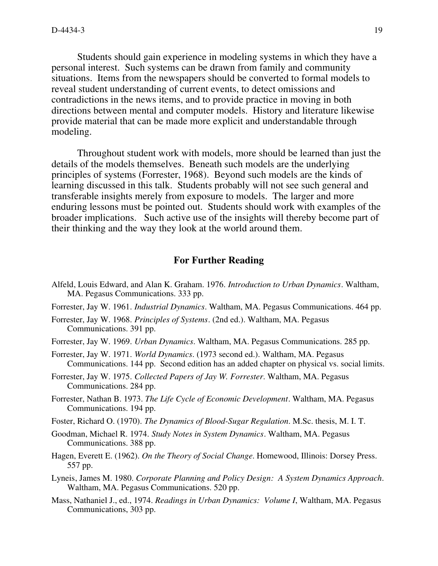Students should gain experience in modeling systems in which they have a personal interest. Such systems can be drawn from family and community situations. Items from the newspapers should be converted to formal models to reveal student understanding of current events, to detect omissions and contradictions in the news items, and to provide practice in moving in both directions between mental and computer models. History and literature likewise provide material that can be made more explicit and understandable through modeling.

Throughout student work with models, more should be learned than just the details of the models themselves. Beneath such models are the underlying principles of systems (Forrester, 1968). Beyond such models are the kinds of learning discussed in this talk. Students probably will not see such general and transferable insights merely from exposure to models. The larger and more enduring lessons must be pointed out. Students should work with examples of the broader implications. Such active use of the insights will thereby become part of their thinking and the way they look at the world around them.

# **For Further Reading**

- Alfeld, Louis Edward, and Alan K. Graham. 1976. *Introduction to Urban Dynamics*. Waltham, MA. Pegasus Communications. 333 pp.
- Forrester, Jay W. 1961. *Industrial Dynamics*. Waltham, MA. Pegasus Communications. 464 pp.
- Forrester, Jay W. 1968. *Principles of Systems*. (2nd ed.). Waltham, MA. Pegasus Communications. 391 pp.
- Forrester, Jay W. 1969. *Urban Dynamics*. Waltham, MA. Pegasus Communications. 285 pp.
- Forrester, Jay W. 1971. *World Dynamics*. (1973 second ed.). Waltham, MA. Pegasus Communications. 144 pp. Second edition has an added chapter on physical vs. social limits.
- Forrester, Jay W. 1975. *Collected Papers of Jay W. Forrester*. Waltham, MA. Pegasus Communications. 284 pp.
- Forrester, Nathan B. 1973. *The Life Cycle of Economic Development*. Waltham, MA. Pegasus Communications. 194 pp.
- Foster, Richard O. (1970). *The Dynamics of Blood-Sugar Regulation*. M.Sc. thesis, M. I. T.
- Goodman, Michael R. 1974. *Study Notes in System Dynamics*. Waltham, MA. Pegasus Communications. 388 pp.
- Hagen, Everett E. (1962). *On the Theory of Social Change*. Homewood, Illinois: Dorsey Press. 557 pp.
- Lyneis, James M. 1980. *Corporate Planning and Policy Design: A System Dynamics Approach*. Waltham, MA. Pegasus Communications. 520 pp.
- Mass, Nathaniel J., ed., 1974. *Readings in Urban Dynamics: Volume I*, Waltham, MA. Pegasus Communications, 303 pp.